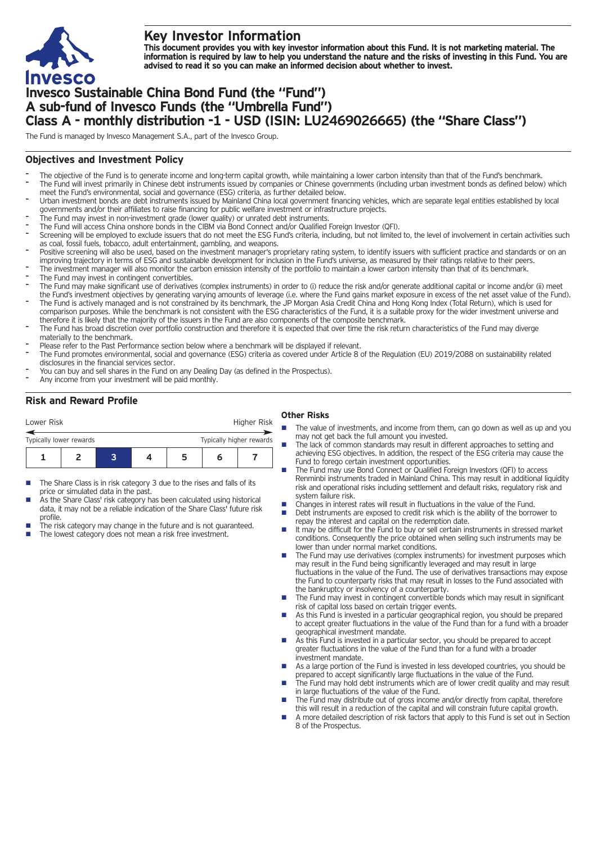

## **Key Investor Information**

This document provides you with key investor information about this Fund. It is not marketing material. The information is required by law to help you understand the nature and the risks of investing in this Fund. You are **advised to read it so you can make an informed decision about whether to invest.**

# **Invesco Sustainable China Bond Fund (the "Fund") A sub-fund of Invesco Funds (the "Umbrella Fund") Class A - monthly distribution -1 - USD (ISIN: LU2469026665) (the "Share Class")**

The Fund is managed by Invesco Management S.A., part of the Invesco Group.

#### **Objectives and Investment Policy**

- The objective of the Fund is to generate income and long-term capital growth, while maintaining a lower carbon intensity than that of the Fund's benchmark. The Fund will invest primarily in Chinese debt instruments issued by companies or Chinese governments (including urban investment bonds as defined below) which meet the Fund's environmental, social and governance (ESG) criteria, as further detailed below.
- Urban investment bonds are debt instruments issued by Mainland China local government financing vehicles, which are separate legal entities established by local governments and/or their affiliates to raise financing for public welfare investment or infrastructure projects.
- The Fund may invest in non-investment grade (lower quality) or unrated debt instruments.
- The Fund will access China onshore bonds in the CIBM via Bond Connect and/or Qualified Foreign Investor (QFI).
- Screening will be employed to exclude issuers that do not meet the ESG Fund's criteria, including, but not limited to, the level of involvement in certain activities such as coal, fossil fuels, tobacco, adult entertainment, gambling, and weapons.
- Positive screening will also be used, based on the investment manager's proprietary rating system, to identify issuers with sufficient practice and standards or on an improving trajectory in terms of ESG and sustainable development for inclusion in the Fund's universe, as measured by their ratings relative to their peers.
- The investment manager will also monitor the carbon emission intensity of the portfolio to maintain a lower carbon intensity than that of its benchmark.
- The Fund may invest in contingent convertibles.
- The Fund may make significant use of derivatives (complex instruments) in order to (i) reduce the risk and/or generate additional capital or income and/or (ii) meet the Fund's investment objectives by generating varying amounts of leverage (i.e. where the Fund gains market exposure in excess of the net asset value of the Fund).
- The Fund is actively managed and is not constrained by its benchmark, the JP Morgan Asia Credit China and Hong Kong Index (Total Return), which is used for comparison purposes. While the benchmark is not consistent with the ESG characteristics of the Fund, it is a suitable proxy for the wider investment universe and therefore it is likely that the majority of the issuers in the Fund are also components of the composite benchmark.
- The Fund has broad discretion over portfolio construction and therefore it is expected that over time the risk return characteristics of the Fund may diverge materially to the benchmark.
- Please refer to the Past Performance section below where a benchmark will be displayed if relevant.
- The Fund promotes environmental, social and governance (ESG) criteria as covered under Article 8 of the Regulation (EU) 2019/2088 on sustainability related disclosures in the financial services sector.
- You can buy and sell shares in the Fund on any Dealing Day (as defined in the Prospectus).
- Any income from your investment will be paid monthly.

## **Risk and Reward Profile**

| Lower Risk              |  |  |                          | Higher Risk |  |  |  |
|-------------------------|--|--|--------------------------|-------------|--|--|--|
| Typically lower rewards |  |  | Typically higher rewards |             |  |  |  |
|                         |  |  | 5                        |             |  |  |  |

- The Share Class is in risk category 3 due to the rises and falls of its price or simulated data in the past.
- As the Share Class' risk category has been calculated using historical data, it may not be a reliable indication of the Share Class' future risk profile.
- The risk category may change in the future and is not guaranteed.
- The lowest category does not mean a risk free investment.

#### **Other Risks**

- **n** The value of investments, and income from them, can go down as well as up and you may not get back the full amount you invested.
- The lack of common standards may result in different approaches to setting and achieving ESG objectives. In addition, the respect of the ESG criteria may cause the Fund to forego certain investment opportunities.
- n The Fund may use Bond Connect or Qualified Foreign Investors (QFI) to access Renminbi instruments traded in Mainland China. This may result in additional liquidity risk and operational risks including settlement and default risks, regulatory risk and system failure risk.
- Changes in interest rates will result in fluctuations in the value of the Fund.
- Debt instruments are exposed to credit risk which is the ability of the borrower to repay the interest and capital on the redemption date.
- It may be difficult for the Fund to buy or sell certain instruments in stressed market conditions. Consequently the price obtained when selling such instruments may be lower than under normal market conditions.
- The Fund may use derivatives (complex instruments) for investment purposes which may result in the Fund being significantly leveraged and may result in large fluctuations in the value of the Fund. The use of derivatives transactions may expose the Fund to counterparty risks that may result in losses to the Fund associated with the bankruptcy or insolvency of a counterparty.
- $\blacksquare$  The Fund may invest in contingent convertible bonds which may result in significant risk of capital loss based on certain trigger events.
- As this Fund is invested in a particular geographical region, you should be prepared to accept greater fluctuations in the value of the Fund than for a fund with a broader geographical investment mandate.
- As this Fund is invested in a particular sector, you should be prepared to accept greater fluctuations in the value of the Fund than for a fund with a broader investment mandate.
- As a large portion of the Fund is invested in less developed countries, you should be prepared to accept significantly large fluctuations in the value of the Fund.
- The Fund may hold debt instruments which are of lower credit quality and may result in large fluctuations of the value of the Fund.
- The Fund may distribute out of gross income and/or directly from capital, therefore this will result in a reduction of the capital and will constrain future capital growth.
- n A more detailed description of risk factors that apply to this Fund is set out in Section 8 of the Prospectus.